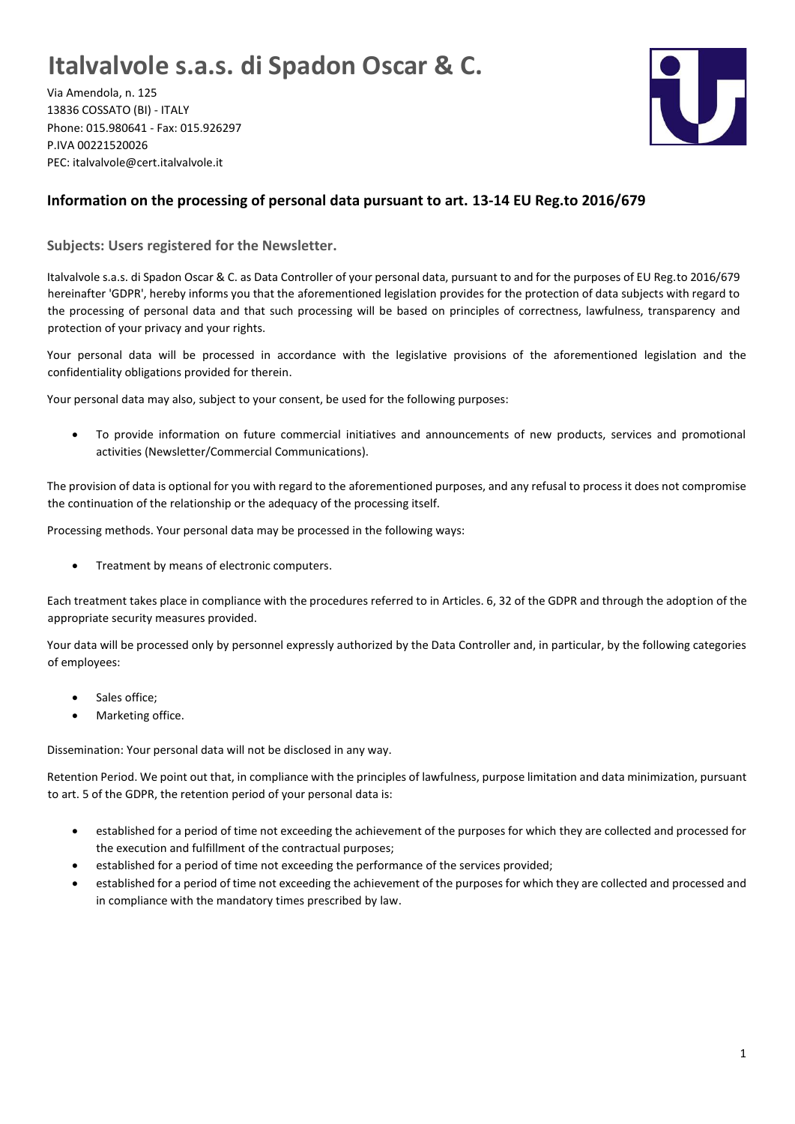## **Italvalvole s.a.s. di Spadon Oscar & C.**

Via Amendola, n. 125 13836 COSSATO (BI) - ITALY Phone: 015.980641 - Fax: 015.926297 P.IVA 00221520026 PEC: italvalvole@cert.italvalvole.it



## **Information on the processing of personal data pursuant to art. 13-14 EU Reg.to 2016/679**

**Subjects: Users registered for the Newsletter.**

Italvalvole s.a.s. di Spadon Oscar & C. as Data Controller of your personal data, pursuant to and for the purposes of EU Reg.to 2016/679 hereinafter 'GDPR', hereby informs you that the aforementioned legislation provides for the protection of data subjects with regard to the processing of personal data and that such processing will be based on principles of correctness, lawfulness, transparency and protection of your privacy and your rights.

Your personal data will be processed in accordance with the legislative provisions of the aforementioned legislation and the confidentiality obligations provided for therein.

Your personal data may also, subject to your consent, be used for the following purposes:

• To provide information on future commercial initiatives and announcements of new products, services and promotional activities (Newsletter/Commercial Communications).

The provision of data is optional for you with regard to the aforementioned purposes, and any refusal to process it does not compromise the continuation of the relationship or the adequacy of the processing itself.

Processing methods. Your personal data may be processed in the following ways:

• Treatment by means of electronic computers.

Each treatment takes place in compliance with the procedures referred to in Articles. 6, 32 of the GDPR and through the adoption of the appropriate security measures provided.

Your data will be processed only by personnel expressly authorized by the Data Controller and, in particular, by the following categories of employees:

- Sales office:
- Marketing office.

Dissemination: Your personal data will not be disclosed in any way.

Retention Period. We point out that, in compliance with the principles of lawfulness, purpose limitation and data minimization, pursuant to art. 5 of the GDPR, the retention period of your personal data is:

- established for a period of time not exceeding the achievement of the purposes for which they are collected and processed for the execution and fulfillment of the contractual purposes;
- established for a period of time not exceeding the performance of the services provided;
- established for a period of time not exceeding the achievement of the purposes for which they are collected and processed and in compliance with the mandatory times prescribed by law.